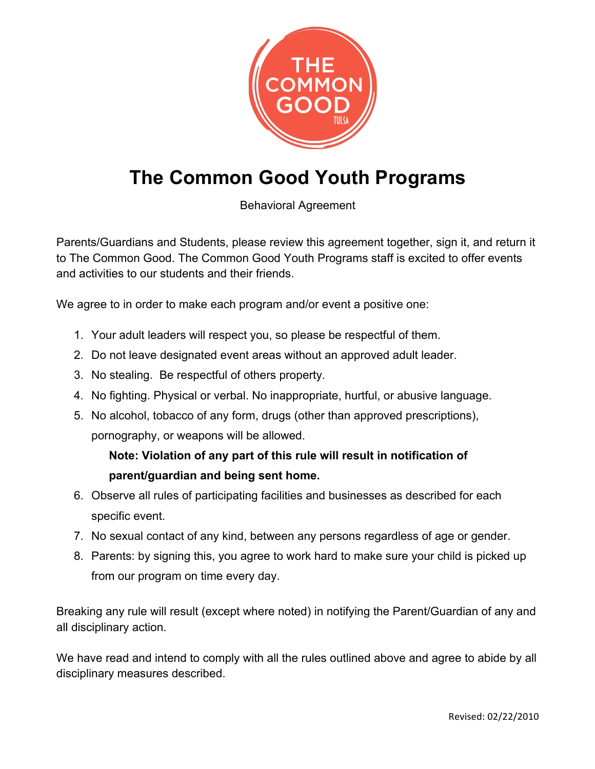

## **The Common Good Youth Programs**

Behavioral Agreement

Parents/Guardians and Students, please review this agreement together, sign it, and return it to The Common Good. The Common Good Youth Programs staff is excited to offer events and activities to our students and their friends.

We agree to in order to make each program and/or event a positive one:

- 1. Your adult leaders will respect you, so please be respectful of them.
- 2. Do not leave designated event areas without an approved adult leader.
- 3. No stealing. Be respectful of others property.
- 4. No fighting. Physical or verbal. No inappropriate, hurtful, or abusive language.
- 5. No alcohol, tobacco of any form, drugs (other than approved prescriptions), pornography, or weapons will be allowed.

**Note: Violation of any part of this rule will result in notification of parent/guardian and being sent home.**

- 6. Observe all rules of participating facilities and businesses as described for each specific event.
- 7. No sexual contact of any kind, between any persons regardless of age or gender.
- 8. Parents: by signing this, you agree to work hard to make sure your child is picked up from our program on time every day.

Breaking any rule will result (except where noted) in notifying the Parent/Guardian of any and all disciplinary action.

We have read and intend to comply with all the rules outlined above and agree to abide by all disciplinary measures described.